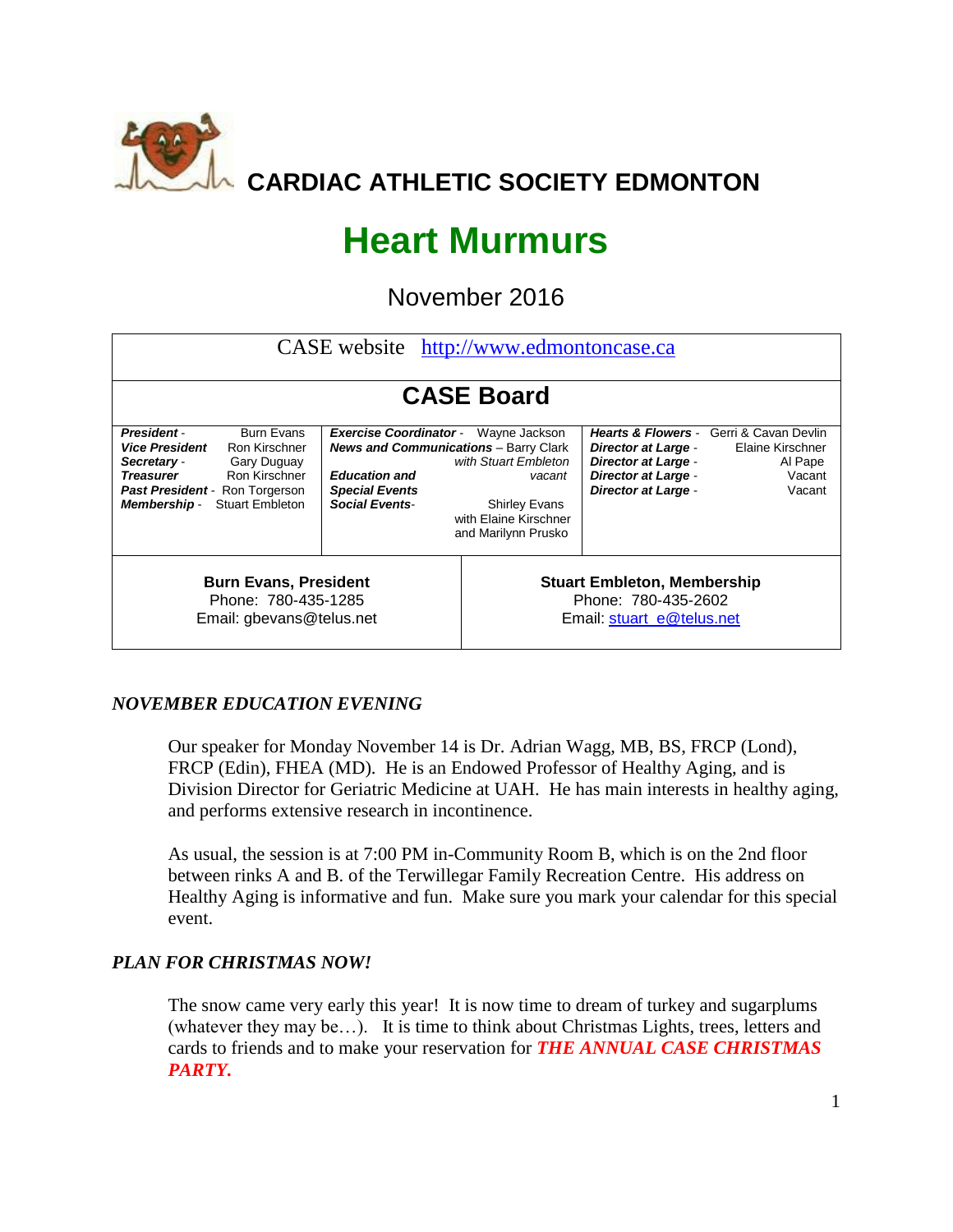

# **Heart Murmurs**

November 2016

| CASE website http://www.edmontoncase.ca                                                                                                                                                                                        |                                                                                                                                                         |                                                                                                                         |                                                                                                                      |                                                                                                           |  |  |  |  |  |  |
|--------------------------------------------------------------------------------------------------------------------------------------------------------------------------------------------------------------------------------|---------------------------------------------------------------------------------------------------------------------------------------------------------|-------------------------------------------------------------------------------------------------------------------------|----------------------------------------------------------------------------------------------------------------------|-----------------------------------------------------------------------------------------------------------|--|--|--|--|--|--|
|                                                                                                                                                                                                                                |                                                                                                                                                         |                                                                                                                         |                                                                                                                      |                                                                                                           |  |  |  |  |  |  |
| <b>CASE Board</b>                                                                                                                                                                                                              |                                                                                                                                                         |                                                                                                                         |                                                                                                                      |                                                                                                           |  |  |  |  |  |  |
| <b>Burn Evans</b><br>President-<br><b>Vice President</b><br>Ron Kirschner<br>Secretary -<br>Gary Duguay<br><b>Treasurer</b><br>Ron Kirschner<br>Past President - Ron Torgerson<br><b>Stuart Embleton</b><br><b>Membership-</b> | <b>Exercise Coordinator -</b><br><b>News and Communications</b> - Barry Clark<br><b>Education and</b><br><b>Special Events</b><br><b>Social Events-</b> | Wayne Jackson<br>with Stuart Embleton<br>vacant<br><b>Shirley Evans</b><br>with Elaine Kirschner<br>and Marilynn Prusko | <b>Director at Large -</b><br><b>Director at Large -</b><br><b>Director at Large -</b><br><b>Director at Large -</b> | <b>Hearts &amp; Flowers - Gerri &amp; Cavan Devlin</b><br>Elaine Kirschner<br>Al Pape<br>Vacant<br>Vacant |  |  |  |  |  |  |
| <b>Burn Evans, President</b><br>Phone: 780-435-1285<br>Email: gbevans@telus.net                                                                                                                                                |                                                                                                                                                         | <b>Stuart Embleton, Membership</b><br>Phone: 780-435-2602<br>Email: stuart_e@telus.net                                  |                                                                                                                      |                                                                                                           |  |  |  |  |  |  |

## *NOVEMBER EDUCATION EVENING*

Our speaker for Monday November 14 is Dr. Adrian Wagg, MB, BS, FRCP (Lond), FRCP (Edin), FHEA (MD). He is an Endowed Professor of Healthy Aging, and is Division Director for Geriatric Medicine at UAH. He has main interests in healthy aging, and performs extensive research in incontinence.

As usual, the session is at 7:00 PM in-Community Room B, which is on the 2nd floor between rinks A and B. of the Terwillegar Family Recreation Centre. His address on Healthy Aging is informative and fun. Make sure you mark your calendar for this special event.

## *PLAN FOR CHRISTMAS NOW!*

The snow came very early this year! It is now time to dream of turkey and sugarplums (whatever they may be…). It is time to think about Christmas Lights, trees, letters and cards to friends and to make your reservation for *THE ANNUAL CASE CHRISTMAS PARTY.*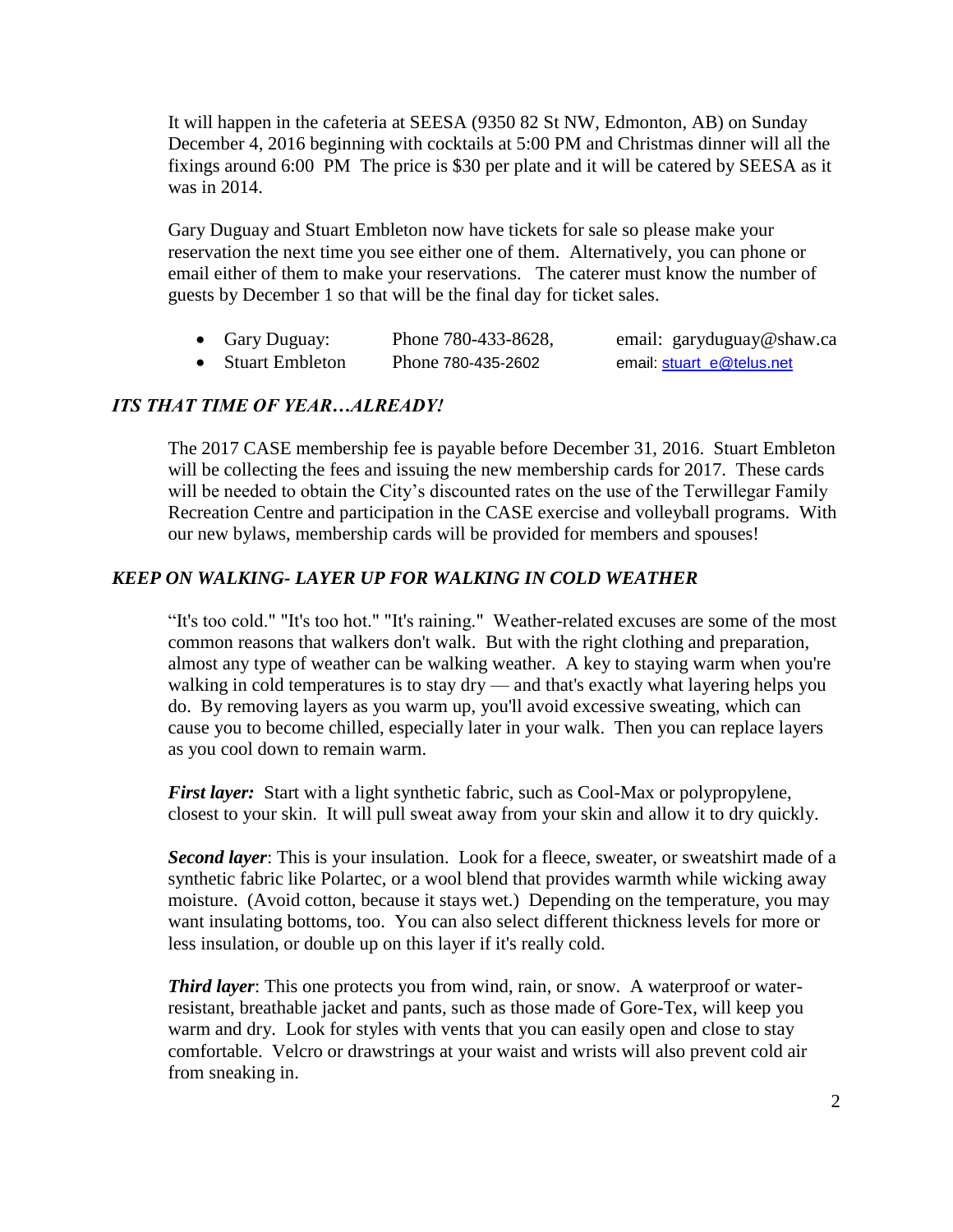It will happen in the cafeteria at SEESA (9350 82 St NW, Edmonton, AB) on Sunday December 4, 2016 beginning with cocktails at 5:00 PM and Christmas dinner will all the fixings around 6:00 PM The price is \$30 per plate and it will be catered by SEESA as it was in 2014.

Gary Duguay and Stuart Embleton now have tickets for sale so please make your reservation the next time you see either one of them. Alternatively, you can phone or email either of them to make your reservations. The caterer must know the number of guests by December 1 so that will be the final day for ticket sales.

- Gary Duguay: Phone 780-433-8628, email: [garyduguay@shaw.ca](mailto:garyduguay@shaw.ca)
- Stuart Embleton Phone 780-435-2602 email: [stuart\\_e@telus.net](mailto:stuart_e@telus.net)

# *ITS THAT TIME OF YEAR…ALREADY!*

The 2017 CASE membership fee is payable before December 31, 2016. Stuart Embleton will be collecting the fees and issuing the new membership cards for 2017. These cards will be needed to obtain the City's discounted rates on the use of the Terwillegar Family Recreation Centre and participation in the CASE exercise and volleyball programs. With our new bylaws, membership cards will be provided for members and spouses!

### *KEEP ON WALKING- LAYER UP FOR WALKING IN COLD WEATHER*

"It's too cold." "It's too hot." "It's raining." Weather-related excuses are some of the most common reasons that walkers don't walk. But with the right clothing and preparation, almost any type of weather can be walking weather. A key to staying warm when you're walking in cold temperatures is to stay dry — and that's exactly what layering helps you do. By removing layers as you warm up, you'll avoid excessive sweating, which can cause you to become chilled, especially later in your walk. Then you can replace layers as you cool down to remain warm.

*First layer*: Start with a light synthetic fabric, such as Cool-Max or polypropylene, closest to your skin. It will pull sweat away from your skin and allow it to dry quickly.

*Second layer*: This is your insulation. Look for a fleece, sweater, or sweatshirt made of a synthetic fabric like Polartec, or a wool blend that provides warmth while wicking away moisture. (Avoid cotton, because it stays wet.) Depending on the temperature, you may want insulating bottoms, too. You can also select different thickness levels for more or less insulation, or double up on this layer if it's really cold.

*Third layer*: This one protects you from wind, rain, or snow. A waterproof or waterresistant, breathable jacket and pants, such as those made of Gore-Tex, will keep you warm and dry. Look for styles with vents that you can easily open and close to stay comfortable. Velcro or drawstrings at your waist and wrists will also prevent cold air from sneaking in.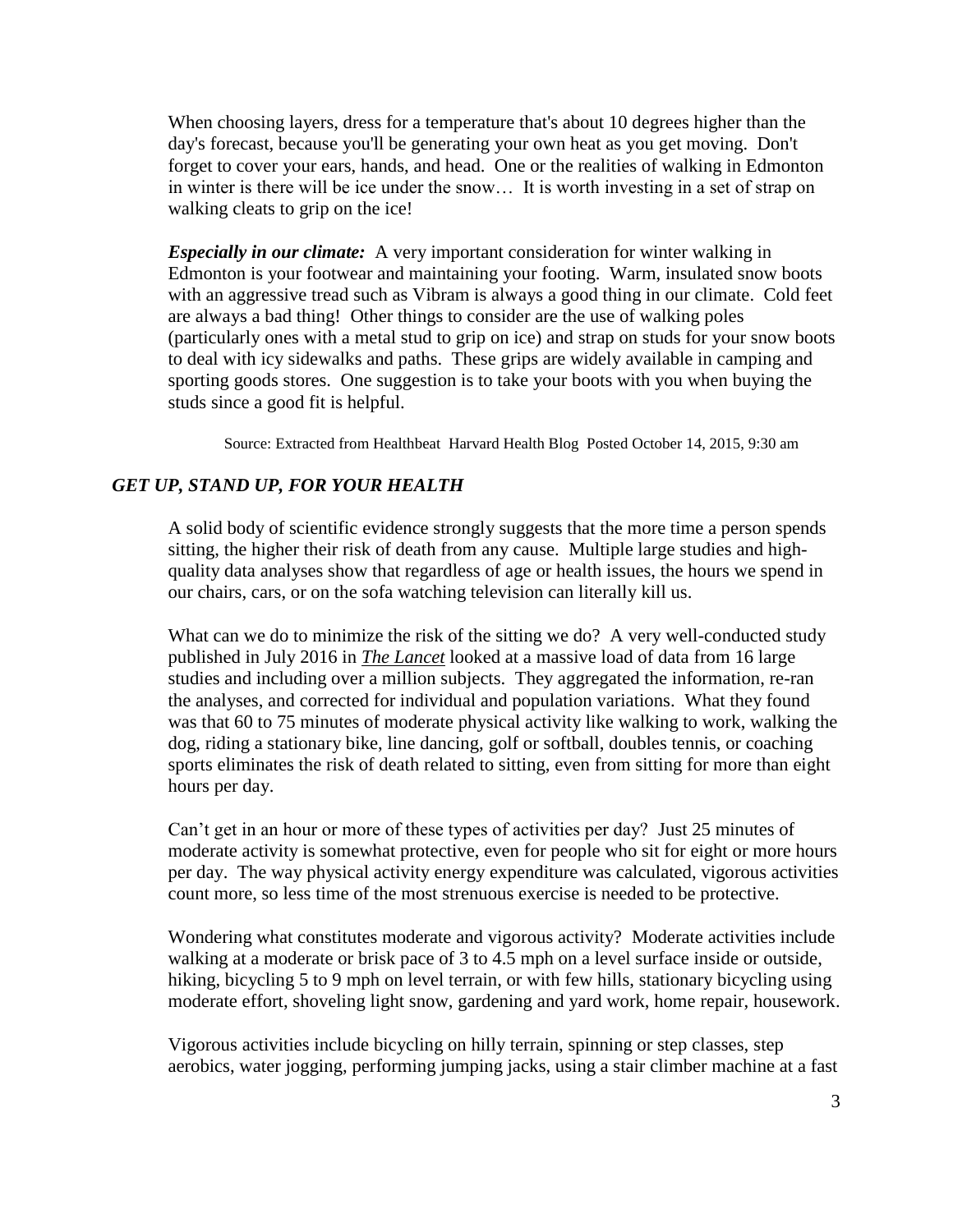When choosing layers, dress for a temperature that's about 10 degrees higher than the day's forecast, because you'll be generating your own heat as you get moving. Don't forget to cover your ears, hands, and head. One or the realities of walking in Edmonton in winter is there will be ice under the snow… It is worth investing in a set of strap on walking cleats to grip on the ice!

*Especially in our climate:* A very important consideration for winter walking in Edmonton is your footwear and maintaining your footing. Warm, insulated snow boots with an aggressive tread such as Vibram is always a good thing in our climate. Cold feet are always a bad thing! Other things to consider are the use of walking poles (particularly ones with a metal stud to grip on ice) and strap on studs for your snow boots to deal with icy sidewalks and paths. These grips are widely available in camping and sporting goods stores. One suggestion is to take your boots with you when buying the studs since a good fit is helpful.

Source: Extracted from Healthbeat [Harvard Health Blog](http://www.health.harvard.edu/blog) Posted October 14, 2015, 9:30 am

#### *GET UP, STAND UP, FOR YOUR HEALTH*

A solid body of scientific evidence strongly suggests that the more time a person spends [sitting,](http://www.ncbi.nlm.nih.gov/pubmed/24236168) the higher their risk of death from any cause. Multiple large studies and highquality data analyses show that regardless of age or health issues, the hours we spend in our chairs, cars, or on the sofa watching television can literally kill us.

What can we do to minimize the risk of the sitting we do? A very well-conducted [study](http://www.thelancet.com/journals/lancet/article/PIIS0140-6736(16)30370-1/abstract) published in July 2016 in *The Lancet* looked at a massive load of data from 16 large studies and including over a million subjects. They aggregated the information, re-ran the analyses, and corrected for individual and population variations. What they found was that 60 to 75 minutes of moderate physical activity like walking to work, walking the dog, riding a stationary bike, line dancing, golf or softball, doubles tennis, or coaching sports eliminates the risk of death related to sitting, even from sitting for more than eight hours per day.

Can't get in an hour or more of these types of activities per day? Just 25 minutes of moderate activity is somewhat protective, even for people who sit for eight or more hours per day. The way physical activity energy expenditure was calculated, vigorous activities count more, so less time of the most strenuous exercise is needed to be protective.

Wondering what constitutes moderate and vigorous activity? Moderate activities include walking at a moderate or brisk pace of 3 to 4.5 mph on a level surface inside or outside, hiking, bicycling 5 to 9 mph on level terrain, or with few hills, stationary bicycling using moderate effort, shoveling light snow, gardening and yard work, home repair, housework.

Vigorous activities include bicycling on hilly terrain, spinning or step classes, step aerobics, water jogging, performing jumping jacks, using a stair climber machine at a fast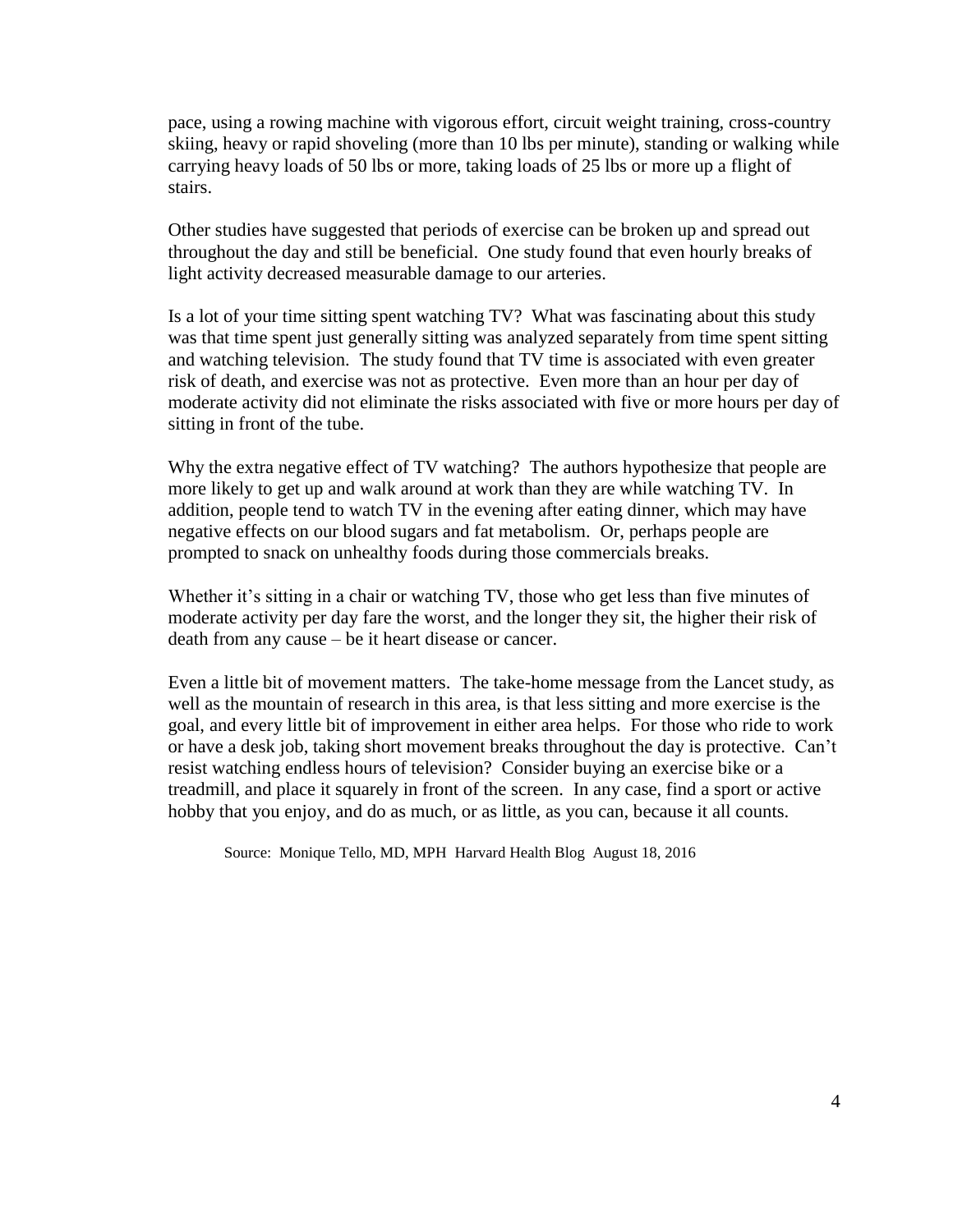pace, using a rowing machine with vigorous effort, circuit weight training, cross-country skiing, heavy or rapid shoveling (more than 10 lbs per minute), standing or walking while carrying heavy loads of 50 lbs or more, taking loads of 25 lbs or more up a flight of stairs.

Other studies have suggested that periods of exercise can be broken up and spread out throughout the day and still be beneficial. One [study](http://www.ncbi.nlm.nih.gov/pubmed/25137367) found that even hourly breaks of light activity decreased measurable damage to our arteries.

Is a lot of your time sitting spent watching TV? What was fascinating about this study was that time spent just generally sitting was analyzed separately from time spent sitting and watching television. The study found that TV time is associated with even greater risk of death, and exercise was not as protective. Even more than an hour per day of moderate activity did not eliminate the risks associated with five or more hours per day of sitting in front of the tube.

Why the extra negative effect of TV watching? The authors hypothesize that people are more likely to get up and walk around at work than they are while watching TV. In addition, people tend to watch TV in the evening after eating dinner, which may have negative effects on our blood sugars and fat metabolism. Or, perhaps people are prompted to snack on unhealthy foods during those commercials breaks.

Whether it's sitting in a chair or watching TV, those who get less than five minutes of moderate activity per day fare the worst, and the longer they sit, the higher their risk of death from any cause – be it heart disease or cancer.

Even a little bit of movement matters. The take-home message from the Lancet study, as well as the mountain of research in this area, is that less sitting and more exercise is the goal, and every little bit of improvement in either area helps. For those who ride to work or have a desk job, taking short movement breaks throughout the day is protective. Can't resist watching endless hours of television? Consider buying an exercise bike or a treadmill, and place it squarely in front of the screen. In any case, find a sport or active hobby that you enjoy, and do as much, or as little, as you can, because it all counts.

Source: [Monique Tello, MD, MPH](http://www.health.harvard.edu/blog/author/mtello) Harvard Health Blog August 18, 2016